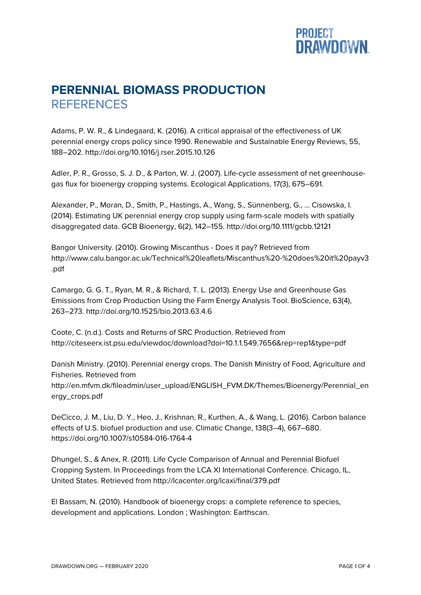

## **PERENNIAL BIOMASS PRODUCTION REFERENCES**

Adams, P. W. R., & Lindegaard, K. (2016). A critical appraisal of the effectiveness of UK perennial energy crops policy since 1990. Renewable and Sustainable Energy Reviews, 55, 188–202. http://doi.org/10.1016/j.rser.2015.10.126

Adler, P. R., Grosso, S. J. D., & Parton, W. J. (2007). Life-cycle assessment of net greenhousegas flux for bioenergy cropping systems. Ecological Applications, 17(3), 675–691.

Alexander, P., Moran, D., Smith, P., Hastings, A., Wang, S., Sünnenberg, G., … Cisowska, I. (2014). Estimating UK perennial energy crop supply using farm-scale models with spatially disaggregated data. GCB Bioenergy, 6(2), 142–155. http://doi.org/10.1111/gcbb.12121

Bangor University. (2010). Growing Miscanthus - Does it pay? Retrieved from http://www.calu.bangor.ac.uk/Technical%20leaflets/Miscanthus%20-%20does%20it%20payv3 .pdf

Camargo, G. G. T., Ryan, M. R., & Richard, T. L. (2013). Energy Use and Greenhouse Gas Emissions from Crop Production Using the Farm Energy Analysis Tool. BioScience, 63(4), 263–273. http://doi.org/10.1525/bio.2013.63.4.6

Coote, C. (n.d.). Costs and Returns of SRC Production. Retrieved from http://citeseerx.ist.psu.edu/viewdoc/download?doi=10.1.1.549.7656&rep=rep1&type=pdf

Danish Ministry. (2010). Perennial energy crops. The Danish Ministry of Food, Agriculture and Fisheries. Retrieved from

http://en.mfvm.dk/fileadmin/user\_upload/ENGLISH\_FVM.DK/Themes/Bioenergy/Perennial\_en ergy\_crops.pdf

DeCicco, J. M., Liu, D. Y., Heo, J., Krishnan, R., Kurthen, A., & Wang, L. (2016). Carbon balance effects of U.S. biofuel production and use. Climatic Change, 138(3–4), 667–680. https://doi.org/10.1007/s10584-016-1764-4

Dhungel, S., & Anex, R. (2011). Life Cycle Comparison of Annual and Perennial Biofuel Cropping System. In Proceedings from the LCA XI International Conference. Chicago, IL, United States. Retrieved from http://lcacenter.org/lcaxi/final/379.pdf

El Bassam, N. (2010). Handbook of bioenergy crops: a complete reference to species, development and applications. London ; Washington: Earthscan.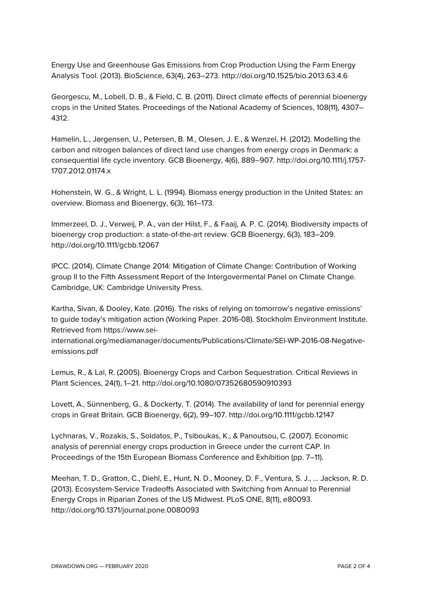Energy Use and Greenhouse Gas Emissions from Crop Production Using the Farm Energy Analysis Tool. (2013). BioScience, 63(4), 263–273. http://doi.org/10.1525/bio.2013.63.4.6

Georgescu, M., Lobell, D. B., & Field, C. B. (2011). Direct climate effects of perennial bioenergy crops in the United States. Proceedings of the National Academy of Sciences, 108(11), 4307– 4312.

Hamelin, L., Jørgensen, U., Petersen, B. M., Olesen, J. E., & Wenzel, H. (2012). Modelling the carbon and nitrogen balances of direct land use changes from energy crops in Denmark: a consequential life cycle inventory. GCB Bioenergy, 4(6), 889–907. http://doi.org/10.1111/j.1757- 1707.2012.01174.x

Hohenstein, W. G., & Wright, L. L. (1994). Biomass energy production in the United States: an overview. Biomass and Bioenergy, 6(3), 161–173.

Immerzeel, D. J., Verweij, P. A., van der Hilst, F., & Faaij, A. P. C. (2014). Biodiversity impacts of bioenergy crop production: a state-of-the-art review. GCB Bioenergy, 6(3), 183–209. http://doi.org/10.1111/gcbb.12067

IPCC. (2014). Climate Change 2014: Mitigation of Climate Change: Contribution of Working group II to the Fifth Assessment Report of the Intergovermental Panel on Climate Change. Cambridge, UK: Cambridge University Press.

Kartha, Sivan, & Dooley, Kate. (2016). The risks of relying on tomorrow's negative emissions' to guide today's mitigation action (Working Paper. 2016-08). Stockholm Environment Institute. Retrieved from https://www.sei-

international.org/mediamanager/documents/Publications/Climate/SEI-WP-2016-08-Negativeemissions.pdf

Lemus, R., & Lal, R. (2005). Bioenergy Crops and Carbon Sequestration. Critical Reviews in Plant Sciences, 24(1), 1–21. http://doi.org/10.1080/07352680590910393

Lovett, A., Sünnenberg, G., & Dockerty, T. (2014). The availability of land for perennial energy crops in Great Britain. GCB Bioenergy, 6(2), 99–107. http://doi.org/10.1111/gcbb.12147

Lychnaras, V., Rozakis, S., Soldatos, P., Tsiboukas, K., & Panoutsou, C. (2007). Economic analysis of perennial energy crops production in Greece under the current CAP. In Proceedings of the 15th European Biomass Conference and Exhibition (pp. 7–11).

Meehan, T. D., Gratton, C., Diehl, E., Hunt, N. D., Mooney, D. F., Ventura, S. J., … Jackson, R. D. (2013). Ecosystem-Service Tradeoffs Associated with Switching from Annual to Perennial Energy Crops in Riparian Zones of the US Midwest. PLoS ONE, 8(11), e80093. http://doi.org/10.1371/journal.pone.0080093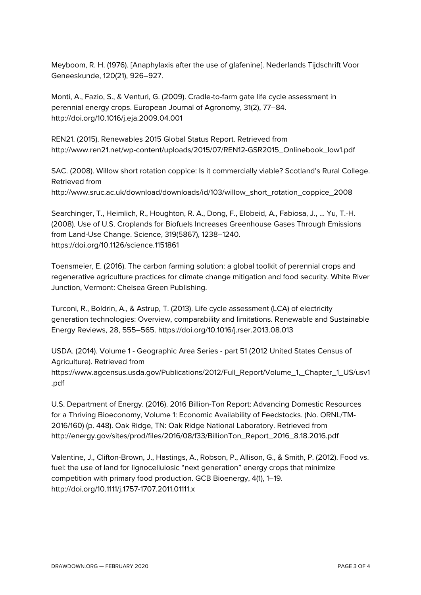Meyboom, R. H. (1976). [Anaphylaxis after the use of glafenine]. Nederlands Tijdschrift Voor Geneeskunde, 120(21), 926–927.

Monti, A., Fazio, S., & Venturi, G. (2009). Cradle-to-farm gate life cycle assessment in perennial energy crops. European Journal of Agronomy, 31(2), 77–84. http://doi.org/10.1016/j.eja.2009.04.001

REN21. (2015). Renewables 2015 Global Status Report. Retrieved from http://www.ren21.net/wp-content/uploads/2015/07/REN12-GSR2015\_Onlinebook\_low1.pdf

SAC. (2008). Willow short rotation coppice: Is it commercially viable? Scotland's Rural College. Retrieved from

http://www.sruc.ac.uk/download/downloads/id/103/willow\_short\_rotation\_coppice\_2008

Searchinger, T., Heimlich, R., Houghton, R. A., Dong, F., Elobeid, A., Fabiosa, J., … Yu, T.-H. (2008). Use of U.S. Croplands for Biofuels Increases Greenhouse Gases Through Emissions from Land-Use Change. Science, 319(5867), 1238–1240. https://doi.org/10.1126/science.1151861

Toensmeier, E. (2016). The carbon farming solution: a global toolkit of perennial crops and regenerative agriculture practices for climate change mitigation and food security. White River Junction, Vermont: Chelsea Green Publishing.

Turconi, R., Boldrin, A., & Astrup, T. (2013). Life cycle assessment (LCA) of electricity generation technologies: Overview, comparability and limitations. Renewable and Sustainable Energy Reviews, 28, 555–565. https://doi.org/10.1016/j.rser.2013.08.013

USDA. (2014). Volume 1 - Geographic Area Series - part 51 (2012 United States Census of Agriculture). Retrieved from https://www.agcensus.usda.gov/Publications/2012/Full\_Report/Volume\_1,\_Chapter\_1\_US/usv1 .pdf

U.S. Department of Energy. (2016). 2016 Billion-Ton Report: Advancing Domestic Resources for a Thriving Bioeconomy, Volume 1: Economic Availability of Feedstocks. (No. ORNL/TM-2016/160) (p. 448). Oak Ridge, TN: Oak Ridge National Laboratory. Retrieved from http://energy.gov/sites/prod/files/2016/08/f33/BillionTon\_Report\_2016\_8.18.2016.pdf

Valentine, J., Clifton-Brown, J., Hastings, A., Robson, P., Allison, G., & Smith, P. (2012). Food vs. fuel: the use of land for lignocellulosic "next generation" energy crops that minimize competition with primary food production. GCB Bioenergy, 4(1), 1–19. http://doi.org/10.1111/j.1757-1707.2011.01111.x